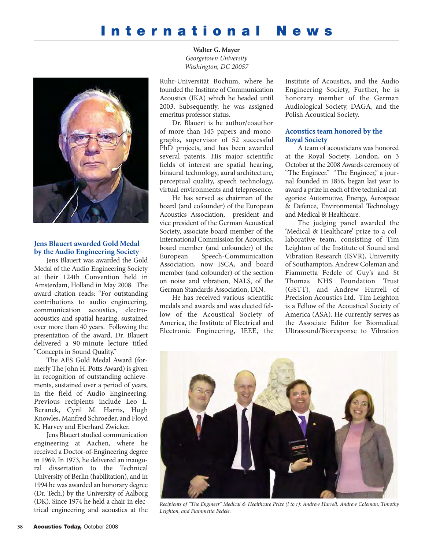## **International News**



## **Jens Blauert awarded Gold Medal by the Audio Engineering Society**

Jens Blauert was awarded the Gold Medal of the Audio Engineering Society at their 124th Convention held in Amsterdam, Holland in May 2008. The award citation reads: "For outstanding contributions to audio engineering, communication acoustics, electroacoustics and spatial hearing, sustained over more than 40 years. Following the presentation of the award, Dr. Blauert delivered a 90-minute lecture titled "Concepts in Sound Quality."

The AES Gold Medal Award (formerly The John H. Potts Award) is given in recognition of outstanding achievements, sustained over a period of years, in the field of Audio Engineering. Previous recipients include Leo L. Beranek, Cyril M. Harris, Hugh Knowles, Manfred Schroeder, and Floyd K. Harvey and Eberhard Zwicker.

Jens Blauert studied communication engineering at Aachen, where he received a Doctor-of-Engineering degree in 1969. In 1973, he delivered an inaugural dissertation to the Technical University of Berlin (habilitation), and in 1994 he was awarded an honorary degree (Dr. Tech.) by the University of Aalborg (DK). Since 1974 he held a chair in electrical engineering and acoustics at the

**Walter G. Mayer** *Georgetown University Washington, DC 20057*

Ruhr-Universität Bochum, where he founded the Institute of Communication Acoustics (IKA) which he headed until 2003. Subsequently, he was assigned emeritus professor status.

Dr. Blauert is he author/coauthor of more than 145 papers and monographs, supervisor of 52 successful PhD projects, and has been awarded several patents. His major scientific fields of interest are spatial hearing, binaural technology, aural architecture, perceptual quality, speech technology, virtual environments and telepresence.

He has served as chairman of the board (and cofounder) of the European Acoustics Association, president and vice president of the German Acoustical Society, associate board member of the International Commission for Acoustics, board member (and cofounder) of the European Speech-Communication Association, now ISCA, and board member (and cofounder) of the section on noise and vibration, NALS, of the German Standards Association, DIN.

He has received various scientific medals and awards and was elected fellow of the Acoustical Society of America, the Institute of Electrical and Electronic Engineering, IEEE, the Institute of Acoustics, and the Audio Engineering Society, Further, he is honorary member of the German Audiological Society, DAGA, and the Polish Acoustical Society.

## **Acoustics team honored by the Royal Society**

A team of acousticians was honored at the Royal Society, London, on 3 October at the 2008 Awards ceremony of "The Engineer." "The Engineer," a journal founded in 1856, began last year to award a prize in each of five technical categories: Automotive, Energy, Aerospace & Defence, Environmental Technology and Medical & Healthcare.

The judging panel awarded the 'Medical & Healthcare' prize to a collaborative team, consisting of Tim Leighton of the Institute of Sound and Vibration Research (ISVR), University of Southampton, Andrew Coleman and Fiammetta Fedele of Guy's and St Thomas NHS Foundation Trust (GSTT), and Andrew Hurrell of Precision Acoustics Ltd. Tim Leighton is a Fellow of the Acoustical Society of America (ASA). He currently serves as the Associate Editor for Biomedical Ultrasound/Bioresponse to Vibration



*Recipients of "The Engineer" Medical & Healthcare Prize (l to r): Andrew Hurrell, Andrew Coleman, Timothy Leighton, and Fiammetta Fedele.*